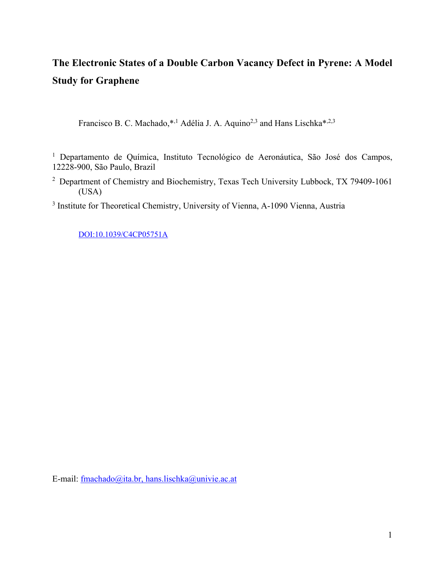# **The Electronic States of a Double Carbon Vacancy Defect in Pyrene: A Model Study for Graphene**

Francisco B. C. Machado,\*,<sup>1</sup> Adélia J. A. Aquino<sup>2,3</sup> and Hans Lischka\*,<sup>2,3</sup>

<sup>1</sup> Departamento de Química, Instituto Tecnológico de Aeronáutica, São José dos Campos, 12228-900, São Paulo, Brazil

<sup>2</sup> Department of Chemistry and Biochemistry, Texas Tech University Lubbock, TX 79409-1061 (USA)

<sup>3</sup> Institute for Theoretical Chemistry, University of Vienna, A-1090 Vienna, Austria

DOI:10.1039/C4CP05751A

E-mail: fmachado@ita.br, hans.lischka@univie.ac.at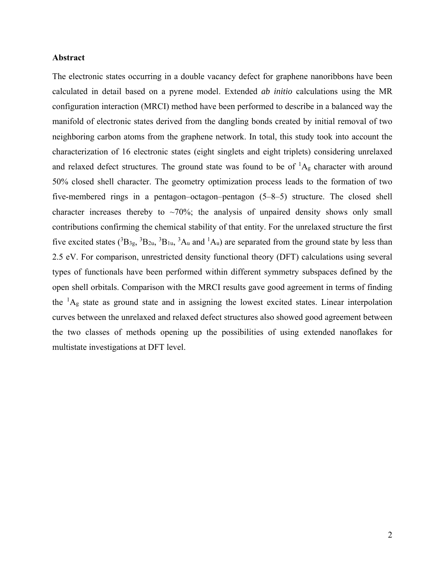#### **Abstract**

The electronic states occurring in a double vacancy defect for graphene nanoribbons have been calculated in detail based on a pyrene model. Extended *ab initio* calculations using the MR configuration interaction (MRCI) method have been performed to describe in a balanced way the manifold of electronic states derived from the dangling bonds created by initial removal of two neighboring carbon atoms from the graphene network. In total, this study took into account the characterization of 16 electronic states (eight singlets and eight triplets) considering unrelaxed and relaxed defect structures. The ground state was found to be of  ${}^{1}A_{g}$  character with around 50% closed shell character. The geometry optimization process leads to the formation of two five-membered rings in a pentagon–octagon–pentagon (5–8–5) structure. The closed shell character increases thereby to  $\sim 70\%$ ; the analysis of unpaired density shows only small contributions confirming the chemical stability of that entity. For the unrelaxed structure the first five excited states  $(^{3}B_{3g},~^{3}B_{2u},~^{3}B_{1u},~^{3}A_{u}$  and  $^{1}A_{u}$ ) are separated from the ground state by less than 2.5 eV. For comparison, unrestricted density functional theory (DFT) calculations using several types of functionals have been performed within different symmetry subspaces defined by the open shell orbitals. Comparison with the MRCI results gave good agreement in terms of finding the  ${}^{1}A_{g}$  state as ground state and in assigning the lowest excited states. Linear interpolation curves between the unrelaxed and relaxed defect structures also showed good agreement between the two classes of methods opening up the possibilities of using extended nanoflakes for multistate investigations at DFT level.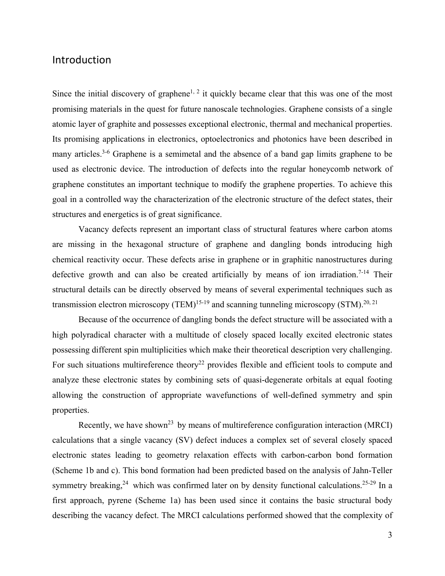## Introduction

Since the initial discovery of graphene<sup>1, 2</sup> it quickly became clear that this was one of the most promising materials in the quest for future nanoscale technologies. Graphene consists of a single atomic layer of graphite and possesses exceptional electronic, thermal and mechanical properties. Its promising applications in electronics, optoelectronics and photonics have been described in many articles.<sup>3-6</sup> Graphene is a semimetal and the absence of a band gap limits graphene to be used as electronic device. The introduction of defects into the regular honeycomb network of graphene constitutes an important technique to modify the graphene properties. To achieve this goal in a controlled way the characterization of the electronic structure of the defect states, their structures and energetics is of great significance.

Vacancy defects represent an important class of structural features where carbon atoms are missing in the hexagonal structure of graphene and dangling bonds introducing high chemical reactivity occur. These defects arise in graphene or in graphitic nanostructures during defective growth and can also be created artificially by means of ion irradiation.<sup>7-14</sup> Their structural details can be directly observed by means of several experimental techniques such as transmission electron microscopy (TEM)<sup>15-19</sup> and scanning tunneling microscopy (STM).<sup>20, 21</sup>

 Because of the occurrence of dangling bonds the defect structure will be associated with a high polyradical character with a multitude of closely spaced locally excited electronic states possessing different spin multiplicities which make their theoretical description very challenging. For such situations multireference theory<sup>22</sup> provides flexible and efficient tools to compute and analyze these electronic states by combining sets of quasi-degenerate orbitals at equal footing allowing the construction of appropriate wavefunctions of well-defined symmetry and spin properties.

Recently, we have shown<sup>23</sup> by means of multireference configuration interaction (MRCI) calculations that a single vacancy (SV) defect induces a complex set of several closely spaced electronic states leading to geometry relaxation effects with carbon-carbon bond formation (Scheme 1b and c). This bond formation had been predicted based on the analysis of Jahn-Teller symmetry breaking,  $24$  which was confirmed later on by density functional calculations.  $25-29$  In a first approach, pyrene (Scheme 1a) has been used since it contains the basic structural body describing the vacancy defect. The MRCI calculations performed showed that the complexity of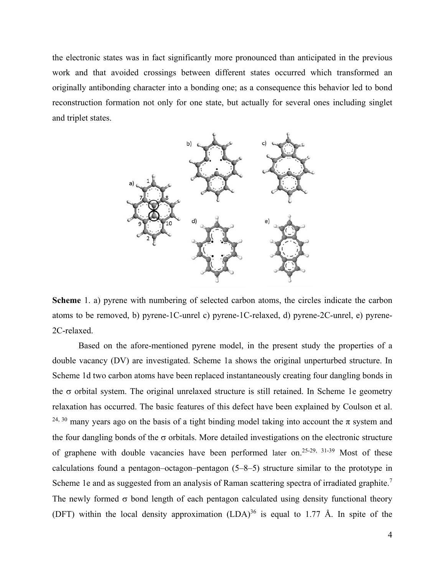the electronic states was in fact significantly more pronounced than anticipated in the previous work and that avoided crossings between different states occurred which transformed an originally antibonding character into a bonding one; as a consequence this behavior led to bond reconstruction formation not only for one state, but actually for several ones including singlet and triplet states.



**Scheme** 1. a) pyrene with numbering of selected carbon atoms, the circles indicate the carbon atoms to be removed, b) pyrene-1C-unrel c) pyrene-1C-relaxed, d) pyrene-2C-unrel, e) pyrene-2C-relaxed.

Based on the afore-mentioned pyrene model, in the present study the properties of a double vacancy (DV) are investigated. Scheme 1a shows the original unperturbed structure. In Scheme 1d two carbon atoms have been replaced instantaneously creating four dangling bonds in the  $\sigma$  orbital system. The original unrelaxed structure is still retained. In Scheme 1e geometry relaxation has occurred. The basic features of this defect have been explained by Coulson et al. <sup>24, 30</sup> many years ago on the basis of a tight binding model taking into account the  $\pi$  system and the four dangling bonds of the  $\sigma$  orbitals. More detailed investigations on the electronic structure of graphene with double vacancies have been performed later on.<sup>25-29, 31-39</sup> Most of these calculations found a pentagon–octagon–pentagon (5–8–5) structure similar to the prototype in Scheme 1e and as suggested from an analysis of Raman scattering spectra of irradiated graphite.<sup>7</sup> The newly formed  $\sigma$  bond length of each pentagon calculated using density functional theory (DFT) within the local density approximation  $(LDA)^{36}$  is equal to 1.77 Å. In spite of the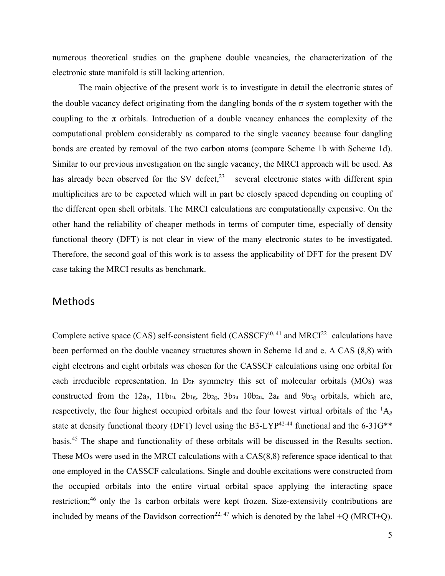numerous theoretical studies on the graphene double vacancies, the characterization of the electronic state manifold is still lacking attention.

The main objective of the present work is to investigate in detail the electronic states of the double vacancy defect originating from the dangling bonds of the  $\sigma$  system together with the coupling to the  $\pi$  orbitals. Introduction of a double vacancy enhances the complexity of the computational problem considerably as compared to the single vacancy because four dangling bonds are created by removal of the two carbon atoms (compare Scheme 1b with Scheme 1d). Similar to our previous investigation on the single vacancy, the MRCI approach will be used. As has already been observed for the SV defect, $2^3$  several electronic states with different spin multiplicities are to be expected which will in part be closely spaced depending on coupling of the different open shell orbitals. The MRCI calculations are computationally expensive. On the other hand the reliability of cheaper methods in terms of computer time, especially of density functional theory (DFT) is not clear in view of the many electronic states to be investigated. Therefore, the second goal of this work is to assess the applicability of DFT for the present DV case taking the MRCI results as benchmark.

### Methods

Complete active space (CAS) self-consistent field (CASSCF)<sup>40, 41</sup> and MRCI<sup>22</sup> calculations have been performed on the double vacancy structures shown in Scheme 1d and e. A CAS (8,8) with eight electrons and eight orbitals was chosen for the CASSCF calculations using one orbital for each irreducible representation. In D2h symmetry this set of molecular orbitals (MOs) was constructed from the  $12a_g$ ,  $11b_{1u}$ ,  $2b_{1g}$ ,  $2b_{2g}$ ,  $3b_{3u}$ ,  $10b_{2u}$ ,  $2a_u$  and  $9b_{3g}$  orbitals, which are, respectively, the four highest occupied orbitals and the four lowest virtual orbitals of the  ${}^{1}A_{g}$ state at density functional theory (DFT) level using the B3-LYP<sup>42-44</sup> functional and the 6-31G<sup>\*\*</sup> basis.45 The shape and functionality of these orbitals will be discussed in the Results section. These MOs were used in the MRCI calculations with a CAS(8,8) reference space identical to that one employed in the CASSCF calculations. Single and double excitations were constructed from the occupied orbitals into the entire virtual orbital space applying the interacting space restriction;<sup>46</sup> only the 1s carbon orbitals were kept frozen. Size-extensivity contributions are included by means of the Davidson correction<sup>22, 47</sup> which is denoted by the label +Q (MRCI+Q).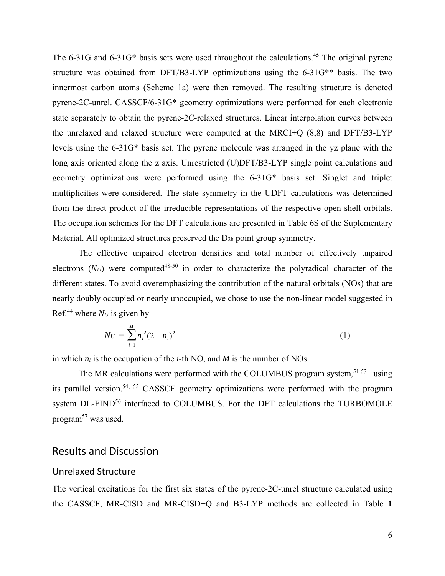The  $6-31G$  and  $6-31G^*$  basis sets were used throughout the calculations.<sup>45</sup> The original pyrene structure was obtained from DFT/B3-LYP optimizations using the 6-31G\*\* basis. The two innermost carbon atoms (Scheme 1a) were then removed. The resulting structure is denoted pyrene-2C-unrel. CASSCF/6-31G\* geometry optimizations were performed for each electronic state separately to obtain the pyrene-2C-relaxed structures. Linear interpolation curves between the unrelaxed and relaxed structure were computed at the MRCI+Q (8,8) and DFT/B3-LYP levels using the 6-31G\* basis set. The pyrene molecule was arranged in the yz plane with the long axis oriented along the z axis. Unrestricted (U)DFT/B3-LYP single point calculations and geometry optimizations were performed using the 6-31G\* basis set. Singlet and triplet multiplicities were considered. The state symmetry in the UDFT calculations was determined from the direct product of the irreducible representations of the respective open shell orbitals. The occupation schemes for the DFT calculations are presented in Table 6S of the Suplementary Material. All optimized structures preserved the D<sub>2h</sub> point group symmetry.

The effective unpaired electron densities and total number of effectively unpaired electrons  $(N_U)$  were computed<sup>48-50</sup> in order to characterize the polyradical character of the different states. To avoid overemphasizing the contribution of the natural orbitals (NOs) that are nearly doubly occupied or nearly unoccupied, we chose to use the non-linear model suggested in Ref.<sup>44</sup> where  $N_U$  is given by

$$
N_U = \sum_{i=1}^{M} n_i^2 (2 - n_i)^2
$$
 (1)

in which *ni* is the occupation of the *i*-th NO, and *M* is the number of NOs.

The MR calculations were performed with the COLUMBUS program system,<sup>51-53</sup> using its parallel version.54, 55 CASSCF geometry optimizations were performed with the program system DL-FIND<sup>56</sup> interfaced to COLUMBUS. For the DFT calculations the TURBOMOLE program<sup>57</sup> was used.

## Results and Discussion

#### Unrelaxed Structure

The vertical excitations for the first six states of the pyrene-2C-unrel structure calculated using the CASSCF, MR-CISD and MR-CISD+Q and B3-LYP methods are collected in Table **1**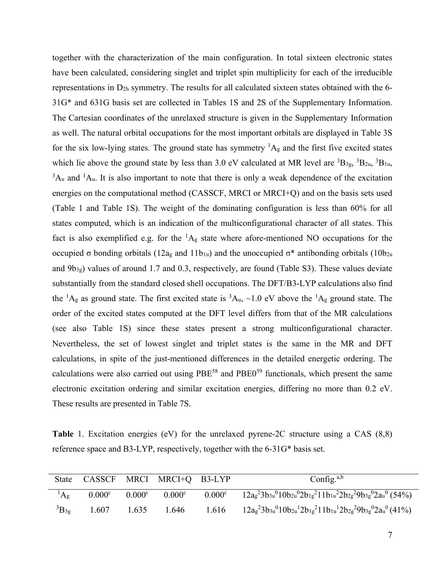together with the characterization of the main configuration. In total sixteen electronic states have been calculated, considering singlet and triplet spin multiplicity for each of the irreducible representations in D2h symmetry. The results for all calculated sixteen states obtained with the 6- 31G\* and 631G basis set are collected in Tables 1S and 2S of the Supplementary Information. The Cartesian coordinates of the unrelaxed structure is given in the Supplementary Information as well. The natural orbital occupations for the most important orbitals are displayed in Table 3S for the six low-lying states. The ground state has symmetry  ${}^{1}A_{g}$  and the first five excited states which lie above the ground state by less than 3.0 eV calculated at MR level are  ${}^{3}B_{3g}$ ,  ${}^{3}B_{2u}$ ,  ${}^{3}B_{1u}$ ,  ${}^{3}$ A<sub>u</sub> and  ${}^{1}$ A<sub>u</sub>. It is also important to note that there is only a weak dependence of the excitation energies on the computational method (CASSCF, MRCI or MRCI+Q) and on the basis sets used (Table 1 and Table 1S). The weight of the dominating configuration is less than 60% for all states computed, which is an indication of the multiconfigurational character of all states. This fact is also exemplified e.g. for the  ${}^{1}A_{g}$  state where afore-mentioned NO occupations for the occupied σ bonding orbitals (12ag and 11b<sub>1u</sub>) and the unoccupied σ<sup>\*</sup> antibonding orbitals (10b<sub>2u</sub>) and  $9b_{3g}$ ) values of around 1.7 and 0.3, respectively, are found (Table S3). These values deviate substantially from the standard closed shell occupations. The DFT/B3-LYP calculations also find the <sup>1</sup>A<sub>g</sub> as ground state. The first excited state is <sup>3</sup>A<sub>u</sub>, ~1.0 eV above the <sup>1</sup>A<sub>g</sub> ground state. The order of the excited states computed at the DFT level differs from that of the MR calculations (see also Table 1S) since these states present a strong multiconfigurational character. Nevertheless, the set of lowest singlet and triplet states is the same in the MR and DFT calculations, in spite of the just-mentioned differences in the detailed energetic ordering. The calculations were also carried out using PBE<sup>58</sup> and PBE0<sup>59</sup> functionals, which present the same electronic excitation ordering and similar excitation energies, differing no more than 0.2 eV. These results are presented in Table 7S.

**Table** 1. Excitation energies (eV) for the unrelaxed pyrene-2C structure using a CAS (8,8) reference space and B3-LYP, respectively, together with the 6-31G\* basis set.

| State           | CASSCF             |                    | MRCI MRCI+O B3-LYP |        | Config. $a,b$                                                                 |
|-----------------|--------------------|--------------------|--------------------|--------|-------------------------------------------------------------------------------|
| $\rm{^1A_g}$    | 0.000 <sup>c</sup> | 0.000 <sup>c</sup> | 0.000 <sup>c</sup> | 0.000c | $12a_g^23b_{3u}^010b_{2u}^02b_{1g}^211b_{1u}^22b_{2g}^29b_{3g}^02a_u^0$ (54%) |
| $\rm^{3}B_{3g}$ | 1.607              | 1.635              | 1.646              | 1.616  | $12a_g^23b_{3u}^010b_{2u}^12b_{1g}^211b_{1u}^12b_{2g}^29b_{3g}^02a_u^0(41\%)$ |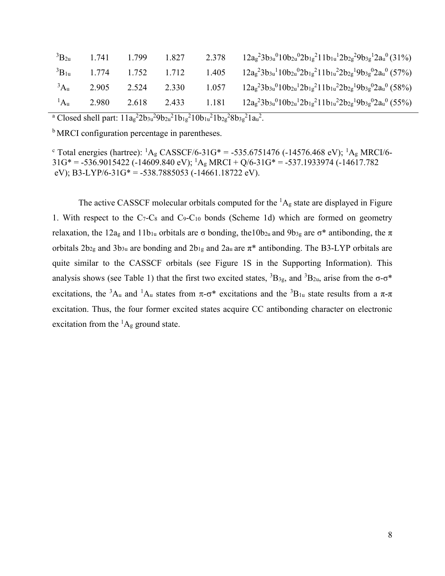| ${}^{3}B_{2u}$    | 1.741 | 1.799       | 1.827 | 2.378 | $12a_g^23b_{3u}^010b_{2u}^02b_{1g}^211b_{1u}^12b_{2g}^29b_{3g}^12a_u^0(31\%)$ |
|-------------------|-------|-------------|-------|-------|-------------------------------------------------------------------------------|
| ${}^{3}B_{1u}$    | 1.774 | 1.752 1.712 |       | 1.405 | $12a_g^23b_{3u}^110b_{2u}^02b_{1g}^211b_{1u}^22b_{2g}^19b_{3g}^02a_u^0(57\%)$ |
| 3A <sub>u</sub>   | 2.905 | 2.524 2.330 |       | 1.057 | $12a_g^23b_{3u}^010b_{2u}^12b_{1g}^211b_{1u}^22b_{2g}^19b_{3g}^02a_u^0$ (58%) |
| $\mathrm{^{1}Au}$ | 2.980 | 2.618       | 2.433 | 1.181 | $12a_g^23b_{3u}^010b_{2u}^12b_{1g}^211b_{1u}^22b_{2g}^19b_{3g}^02a_u^0$ (55%) |

<sup>a</sup> Closed shell part:  $11a_g^22b_{3u}^29b_{2u}^21b_{1g}^210b_{1u}^21b_{2g}^28b_{3g}^21a_u^2$ .

<sup>b</sup> MRCI configuration percentage in parentheses.

<sup>c</sup> Total energies (hartree): <sup>1</sup>A<sub>g</sub> CASSCF/6-31G\* = -535.6751476 (-14576.468 eV); <sup>1</sup>A<sub>g</sub> MRCI/6- $31G^* = -536.9015422$  ( $-14609.840$  eV);  ${}^1A_g$  MRCI + Q/6-31G\* = -537.1933974 ( $-14617.782$ eV); B3-LYP/6-31G\* = -538.7885053 (-14661.18722 eV).

The active CASSCF molecular orbitals computed for the  ${}^{1}A_{g}$  state are displayed in Figure 1. With respect to the  $C_7-C_8$  and  $C_9-C_{10}$  bonds (Scheme 1d) which are formed on geometry relaxation, the 12a<sub>g</sub> and 11b<sub>1u</sub> orbitals are σ bonding, the10b<sub>2u</sub> and 9b<sub>3g</sub> are σ\* antibonding, the π orbitals  $2b_{2g}$  and  $3b_{3u}$  are bonding and  $2b_{1g}$  and  $2a_u$  are  $\pi^*$  antibonding. The B3-LYP orbitals are quite similar to the CASSCF orbitals (see Figure 1S in the Supporting Information). This analysis shows (see Table 1) that the first two excited states,  ${}^{3}B_{3g}$ , and  ${}^{3}B_{2u}$ , arise from the  $\sigma$ - $\sigma$ <sup>\*</sup> excitations, the <sup>3</sup>A<sub>u</sub> and <sup>1</sup>A<sub>u</sub> states from  $\pi$ - $\sigma$ <sup>\*</sup> excitations and the <sup>3</sup>B<sub>1u</sub> state results from a  $\pi$ - $\pi$ excitation. Thus, the four former excited states acquire CC antibonding character on electronic excitation from the  ${}^{1}A_{g}$  ground state.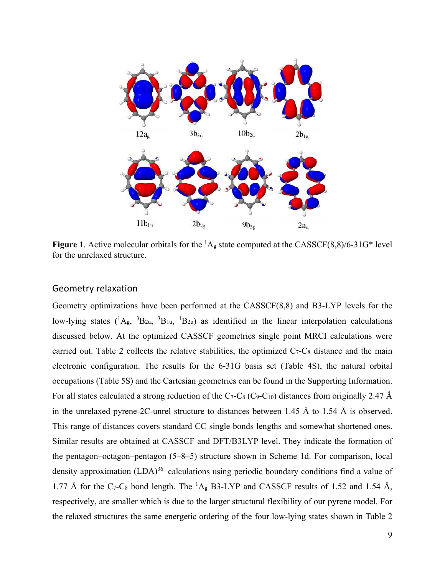

**Figure 1.** Active molecular orbitals for the  ${}^{1}A_{g}$  state computed at the CASSCF(8,8)/6-31G\* level for the unrelaxed structure.

#### Geometry relaxation

Geometry optimizations have been performed at the CASSCF(8,8) and B3-LYP levels for the low-lying states  $({}^{1}A_{g}, {}^{3}B_{2u}, {}^{3}B_{1u}, {}^{1}B_{2u})$  as identified in the linear interpolation calculations discussed below. At the optimized CASSCF geometries single point MRCI calculations were carried out. Table 2 collects the relative stabilities, the optimized  $C_7-C_8$  distance and the main electronic configuration. The results for the 6-31G basis set (Table 4S), the natural orbital occupations (Table 5S) and the Cartesian geometries can be found in the Supporting Information. For all states calculated a strong reduction of the C<sub>7</sub>-C<sub>8</sub> (C<sub>9</sub>-C<sub>10</sub>) distances from originally 2.47 Å in the unrelaxed pyrene-2C-unrel structure to distances between 1.45 Å to 1.54 Å is observed. This range of distances covers standard CC single bonds lengths and somewhat shortened ones. Similar results are obtained at CASSCF and DFT/B3LYP level. They indicate the formation of the pentagon–octagon–pentagon (5–8–5) structure shown in Scheme 1d. For comparison, local density approximation  $(LDA)^{36}$  calculations using periodic boundary conditions find a value of 1.77 Å for the C<sub>7</sub>-C<sub>8</sub> bond length. The <sup>1</sup>A<sub>g</sub> B3-LYP and CASSCF results of 1.52 and 1.54 Å, respectively, are smaller which is due to the larger structural flexibility of our pyrene model. For the relaxed structures the same energetic ordering of the four low-lying states shown in Table 2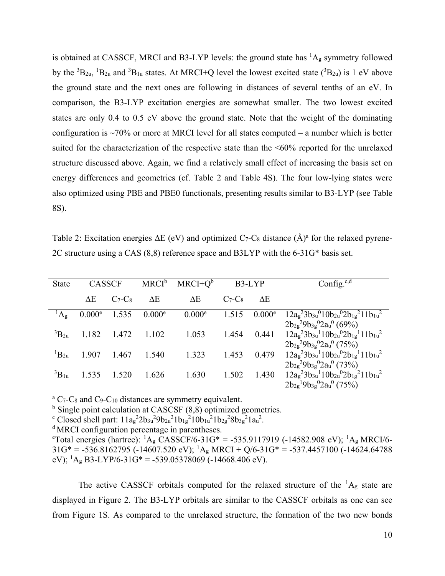is obtained at CASSCF, MRCI and B3-LYP levels: the ground state has  ${}^{1}A_{g}$  symmetry followed by the  ${}^{3}B_{2u}$ ,  ${}^{1}B_{2u}$  and  ${}^{3}B_{1u}$  states. At MRCI+Q level the lowest excited state  $({}^{3}B_{2u})$  is 1 eV above the ground state and the next ones are following in distances of several tenths of an eV. In comparison, the B3-LYP excitation energies are somewhat smaller. The two lowest excited states are only 0.4 to 0.5 eV above the ground state. Note that the weight of the dominating configuration is  $\sim$ 70% or more at MRCI level for all states computed – a number which is better suited for the characterization of the respective state than the <60% reported for the unrelaxed structure discussed above. Again, we find a relatively small effect of increasing the basis set on energy differences and geometries (cf. Table 2 and Table 4S). The four low-lying states were also optimized using PBE and PBE0 functionals, presenting results similar to B3-LYP (see Table 8S).

Table 2: Excitation energies  $\Delta E$  (eV) and optimized C<sub>7</sub>-C<sub>8</sub> distance (Å)<sup>a</sup> for the relaxed pyrene-2C structure using a CAS (8,8) reference space and B3LYP with the 6-31G\* basis set.

| <b>State</b>   | <b>CASSCF</b>      |         | $MRCI^b$           | $MRCI+Qb$          | B3-LYP  |                    | Config. $c,d$                                                                                                                           |
|----------------|--------------------|---------|--------------------|--------------------|---------|--------------------|-----------------------------------------------------------------------------------------------------------------------------------------|
|                | ΔΕ                 | $C7-C8$ | $\Delta E$         | $\Delta E$         | $C7-C8$ | ΔE                 |                                                                                                                                         |
| $\rm ^1A_g$    | 0.000 <sup>e</sup> | 1.535   | 0.000 <sup>e</sup> | 0.000 <sup>e</sup> | 1.515   | 0.000 <sup>e</sup> | $12ag23b3u010b2u02b1g211b1u2$                                                                                                           |
| ${}^3B_{2u}$   | 1.182              | 1.472   | 1.102              | 1.053              | 1.454   | 0.441              | $2b_{2g}^{2}9b_{3g}^{0}2a_{u}^{0}$ (69%)<br>$12a_g^23b_{3u}^110b_{2u}^02b_{1g}^111b_{1u}^2$<br>$2b_{2g}^{2}9b_{3g}^{0}2a_{u}^{0}$ (75%) |
| ${}^{1}B_{2u}$ | 1.907              | 1.467   | 1.540              | 1.323              | 1.453   | 0.479              | $12ag23b3u110b2u02b1g111b1u2$<br>$2b_{2g}^{2}9b_{3g}^{0}2a_{u}^{0}$ (73%)                                                               |
| ${}^3B_{1u}$   | 1.535              | 1.520   | 1.626              | 1.630              | 1.502   | 1.430              | $12a_g^23b_{3u}^110b_{2u}^02b_{1g}^211b_{1u}^2$<br>$2b_{2g}^{1}9b_{3g}^{0}2a_{u}^{0}$ (75%)                                             |

 ${}^{\text{a}}$  C<sub>7</sub>-C<sub>8</sub> and C<sub>9</sub>-C<sub>10</sub> distances are symmetry equivalent.

<sup>b</sup> Single point calculation at CASCSF (8,8) optimized geometries.

<sup>c</sup> Closed shell part:  $11a_g^22b_{3u}^29b_{2u}^21b_{1g}^210b_{1u}^21b_{2g}^28b_{3g}^21a_u^2$ .<br>
<sup>d</sup> MRCI configuration percentage in parentheses.<br>
<sup>e</sup>Total energies (bartree): <sup>1</sup>A CASSCE/6 31G\* - 535 9117

Total energies (hartree):  ${}^{1}A_{g}$  CASSCF/6-31G\* = -535.9117919 (-14582.908 eV);  ${}^{1}A_{g}$  MRCI/6- $31G^* = -536.8162795$  ( $-14607.520$  eV); <sup>1</sup>A<sub>g</sub> MRCI + Q/6-31G<sup>\*</sup> = -537.4457100 ( $-14624.64788$ ) eV); <sup>1</sup>A<sub>g</sub> B3-LYP/6-31G\* = -539.05378069 (-14668.406 eV).

The active CASSCF orbitals computed for the relaxed structure of the  ${}^{1}A_{g}$  state are displayed in Figure 2. The B3-LYP orbitals are similar to the CASSCF orbitals as one can see from Figure 1S. As compared to the unrelaxed structure, the formation of the two new bonds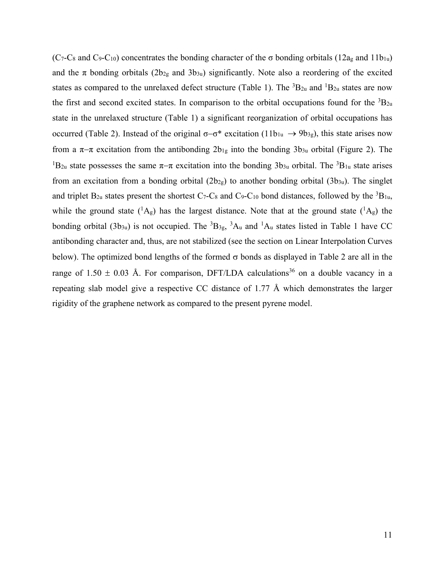(C<sub>7</sub>-C<sub>8</sub> and C<sub>9</sub>-C<sub>10</sub>) concentrates the bonding character of the  $\sigma$  bonding orbitals (12a<sub>g</sub> and 11b<sub>1u</sub>) and the  $\pi$  bonding orbitals (2b<sub>2g</sub> and 3b<sub>3u</sub>) significantly. Note also a reordering of the excited states as compared to the unrelaxed defect structure (Table 1). The  ${}^{3}B_{2u}$  and  ${}^{1}B_{2u}$  states are now the first and second excited states. In comparison to the orbital occupations found for the  ${}^{3}$ B<sub>2u</sub> state in the unrelaxed structure (Table 1) a significant reorganization of orbital occupations has occurred (Table 2). Instead of the original  $\sigma-\sigma^*$  excitation (11b<sub>1u</sub>  $\rightarrow$  9b<sub>3g</sub>), this state arises now from a  $\pi-\pi$  excitation from the antibonding  $2b_{1g}$  into the bonding  $3b_{3u}$  orbital (Figure 2). The <sup>1</sup>B<sub>2u</sub> state possesses the same  $\pi-\pi$  excitation into the bonding 3b<sub>3u</sub> orbital. The <sup>3</sup>B<sub>1u</sub> state arises from an excitation from a bonding orbital  $(2b_{2g})$  to another bonding orbital  $(3b_{3u})$ . The singlet and triplet  $B_{2u}$  states present the shortest C<sub>7</sub>-C<sub>8</sub> and C<sub>9</sub>-C<sub>10</sub> bond distances, followed by the <sup>3</sup>B<sub>1u</sub>, while the ground state  $({}^1A_g)$  has the largest distance. Note that at the ground state  $({}^1A_g)$  the bonding orbital (3b<sub>3u</sub>) is not occupied. The <sup>3</sup>B<sub>3g</sub>, <sup>3</sup>A<sub>u</sub> and <sup>1</sup>A<sub>u</sub> states listed in Table 1 have CC antibonding character and, thus, are not stabilized (see the section on Linear Interpolation Curves below). The optimized bond lengths of the formed  $\sigma$  bonds as displayed in Table 2 are all in the range of 1.50  $\pm$  0.03 Å. For comparison, DFT/LDA calculations<sup>36</sup> on a double vacancy in a repeating slab model give a respective CC distance of 1.77 Å which demonstrates the larger rigidity of the graphene network as compared to the present pyrene model.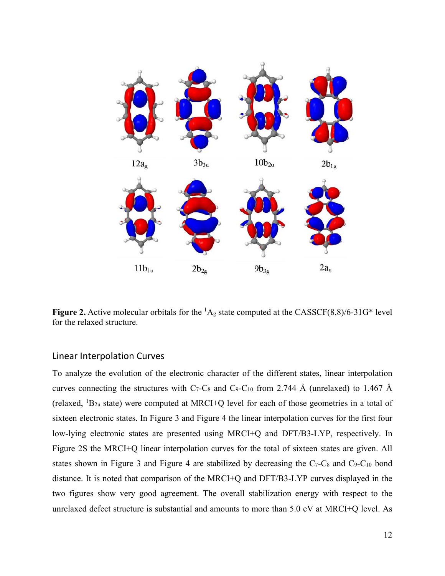

**Figure 2.** Active molecular orbitals for the  ${}^{1}A_{g}$  state computed at the CASSCF(8,8)/6-31G\* level for the relaxed structure.

### Linear Interpolation Curves

To analyze the evolution of the electronic character of the different states, linear interpolation curves connecting the structures with C<sub>7</sub>-C<sub>8</sub> and C<sub>9</sub>-C<sub>10</sub> from 2.744 Å (unrelaxed) to 1.467 Å (relaxed,  ${}^{1}B_{2u}$  state) were computed at MRCI+Q level for each of those geometries in a total of sixteen electronic states. In Figure 3 and Figure 4 the linear interpolation curves for the first four low-lying electronic states are presented using MRCI+Q and DFT/B3-LYP, respectively. In Figure 2S the MRCI+Q linear interpolation curves for the total of sixteen states are given. All states shown in Figure 3 and Figure 4 are stabilized by decreasing the C<sub>7</sub>-C<sub>8</sub> and C<sub>9</sub>-C<sub>10</sub> bond distance. It is noted that comparison of the MRCI+Q and DFT/B3-LYP curves displayed in the two figures show very good agreement. The overall stabilization energy with respect to the unrelaxed defect structure is substantial and amounts to more than 5.0 eV at MRCI+Q level. As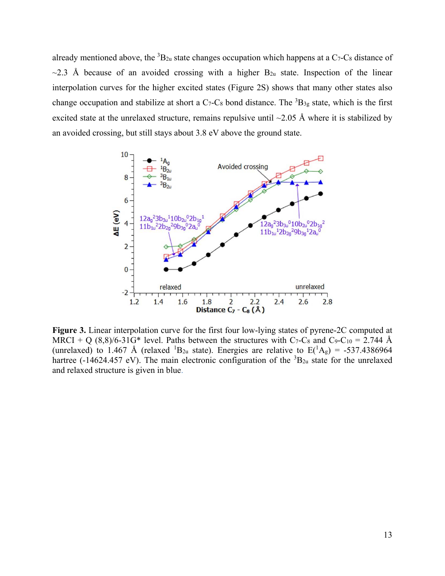already mentioned above, the  ${}^{3}B_{2u}$  state changes occupation which happens at a C<sub>7</sub>-C<sub>8</sub> distance of  $\sim$ 2.3 Å because of an avoided crossing with a higher B<sub>2u</sub> state. Inspection of the linear interpolation curves for the higher excited states (Figure 2S) shows that many other states also change occupation and stabilize at short a  $C_7$ -C<sub>8</sub> bond distance. The  ${}^{3}B_{3g}$  state, which is the first excited state at the unrelaxed structure, remains repulsive until  $\sim$ 2.05 Å where it is stabilized by an avoided crossing, but still stays about 3.8 eV above the ground state.



**Figure 3.** Linear interpolation curve for the first four low-lying states of pyrene-2C computed at MRCI + Q  $(8,8)/6$ -31G\* level. Paths between the structures with C<sub>7</sub>-C<sub>8</sub> and C<sub>9</sub>-C<sub>10</sub> = 2.744 Å (unrelaxed) to 1.467 Å (relaxed  ${}^{1}B_{2u}$  state). Energies are relative to  $E({}^{1}A_{g}) = -537.4386964$ hartree (-14624.457 eV). The main electronic configuration of the  ${}^{3}B_{2u}$  state for the unrelaxed and relaxed structure is given in blue.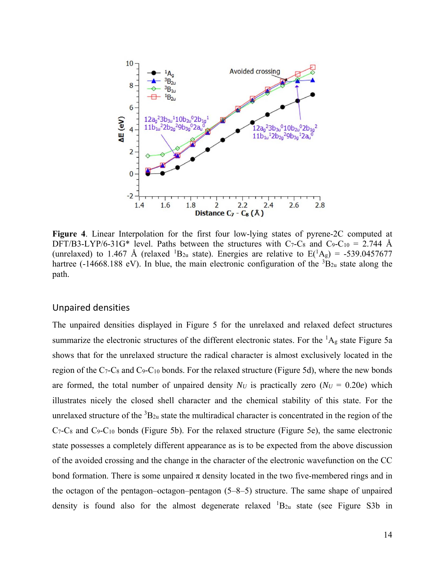

**Figure 4**. Linear Interpolation for the first four low-lying states of pyrene-2C computed at DFT/B3-LYP/6-31G\* level. Paths between the structures with C<sub>7</sub>-C<sub>8</sub> and C<sub>9</sub>-C<sub>10</sub> = 2.744 Å (unrelaxed) to 1.467 Å (relaxed <sup>1</sup>B<sub>2u</sub> state). Energies are relative to  $E(^{1}A_g) = -539.0457677$ hartree (-14668.188 eV). In blue, the main electronic configuration of the  ${}^{3}B_{2u}$  state along the path.

#### Unpaired densities

The unpaired densities displayed in Figure 5 for the unrelaxed and relaxed defect structures summarize the electronic structures of the different electronic states. For the  ${}^{1}A_{g}$  state Figure 5a shows that for the unrelaxed structure the radical character is almost exclusively located in the region of the  $C_7$ -C<sub>8</sub> and C<sub>9</sub>-C<sub>10</sub> bonds. For the relaxed structure (Figure 5d), where the new bonds are formed, the total number of unpaired density  $N_U$  is practically zero  $(N_U = 0.20e)$  which illustrates nicely the closed shell character and the chemical stability of this state. For the unrelaxed structure of the  ${}^{3}B_{2u}$  state the multiradical character is concentrated in the region of the C7-C8 and C9-C10 bonds (Figure 5b). For the relaxed structure (Figure 5e), the same electronic state possesses a completely different appearance as is to be expected from the above discussion of the avoided crossing and the change in the character of the electronic wavefunction on the CC bond formation. There is some unpaired  $\pi$  density located in the two five-membered rings and in the octagon of the pentagon–octagon–pentagon (5–8–5) structure. The same shape of unpaired density is found also for the almost degenerate relaxed  ${}^{1}B_{2u}$  state (see Figure S3b in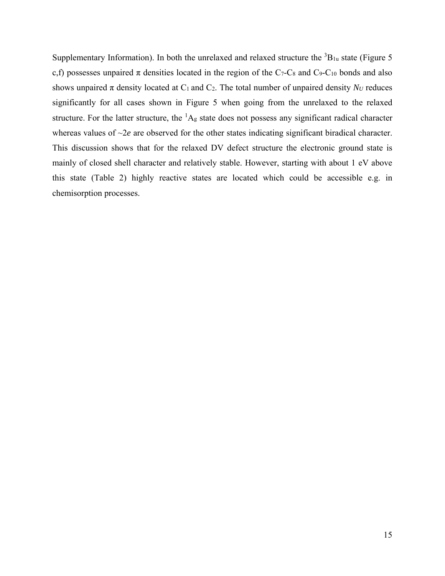Supplementary Information). In both the unrelaxed and relaxed structure the  ${}^{3}B_{1u}$  state (Figure 5 c,f) possesses unpaired  $\pi$  densities located in the region of the C<sub>7</sub>-C<sub>8</sub> and C<sub>9</sub>-C<sub>10</sub> bonds and also shows unpaired  $\pi$  density located at C<sub>1</sub> and C<sub>2</sub>. The total number of unpaired density  $N_U$  reduces significantly for all cases shown in Figure 5 when going from the unrelaxed to the relaxed structure. For the latter structure, the  ${}^{1}A_{g}$  state does not possess any significant radical character whereas values of  $\sim$ 2*e* are observed for the other states indicating significant biradical character. This discussion shows that for the relaxed DV defect structure the electronic ground state is mainly of closed shell character and relatively stable. However, starting with about 1 eV above this state (Table 2) highly reactive states are located which could be accessible e.g. in chemisorption processes.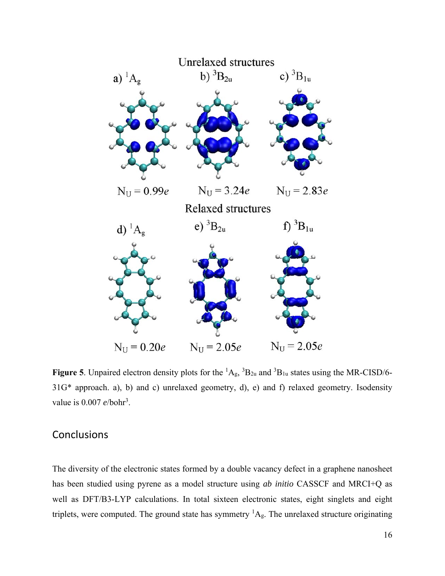

**Figure 5**. Unpaired electron density plots for the  ${}^{1}A_{g}$ ,  ${}^{3}B_{2u}$  and  ${}^{3}B_{1u}$  states using the MR-CISD/6-31G\* approach. a), b) and c) unrelaxed geometry, d), e) and f) relaxed geometry. Isodensity value is 0.007 *e*/bohr<sup>3</sup>.

# **Conclusions**

The diversity of the electronic states formed by a double vacancy defect in a graphene nanosheet has been studied using pyrene as a model structure using *ab initio* CASSCF and MRCI+Q as well as DFT/B3-LYP calculations. In total sixteen electronic states, eight singlets and eight triplets, were computed. The ground state has symmetry  ${}^{1}A_{g}$ . The unrelaxed structure originating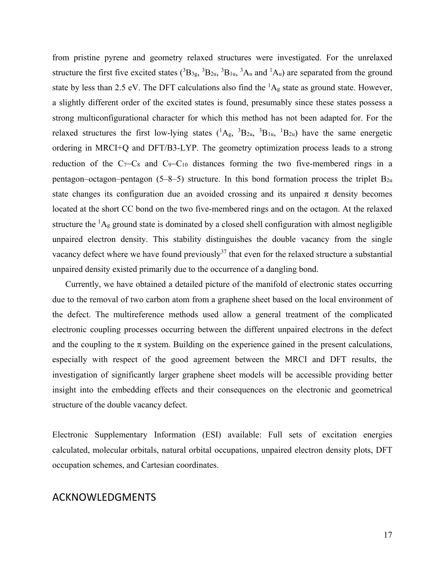from pristine pyrene and geometry relaxed structures were investigated. For the unrelaxed structure the first five excited states  $(^{3}B_{3g}$ ,  $^{3}B_{2u}$ ,  $^{3}B_{1u}$ ,  $^{3}A_{u}$  and  $^{1}A_{u}$ ) are separated from the ground state by less than 2.5 eV. The DFT calculations also find the  ${}^{1}A_{g}$  state as ground state. However, a slightly different order of the excited states is found, presumably since these states possess a strong multiconfigurational character for which this method has not been adapted for. For the relaxed structures the first low-lying states  $(^1A_g,~^3B_{2u},~^3B_{1u},~^1B_{2u})$  have the same energetic ordering in MRCI+Q and DFT/B3-LYP. The geometry optimization process leads to a strong reduction of the  $C_7-C_8$  and  $C_9-C_{10}$  distances forming the two five-membered rings in a pentagon–octagon–pentagon  $(5-8-5)$  structure. In this bond formation process the triplet  $B_{2u}$ state changes its configuration due an avoided crossing and its unpaired  $\pi$  density becomes located at the short CC bond on the two five-membered rings and on the octagon. At the relaxed structure the  ${}^{1}A_{g}$  ground state is dominated by a closed shell configuration with almost negligible unpaired electron density. This stability distinguishes the double vacancy from the single vacancy defect where we have found previously<sup>37</sup> that even for the relaxed structure a substantial unpaired density existed primarily due to the occurrence of a dangling bond.

Currently, we have obtained a detailed picture of the manifold of electronic states occurring due to the removal of two carbon atom from a graphene sheet based on the local environment of the defect. The multireference methods used allow a general treatment of the complicated electronic coupling processes occurring between the different unpaired electrons in the defect and the coupling to the  $\pi$  system. Building on the experience gained in the present calculations, especially with respect of the good agreement between the MRCI and DFT results, the investigation of significantly larger graphene sheet models will be accessible providing better insight into the embedding effects and their consequences on the electronic and geometrical structure of the double vacancy defect.

Electronic Supplementary Information (ESI) available: Full sets of excitation energies calculated, molecular orbitals, natural orbital occupations, unpaired electron density plots, DFT occupation schemes, and Cartesian coordinates.

## ACKNOWLEDGMENTS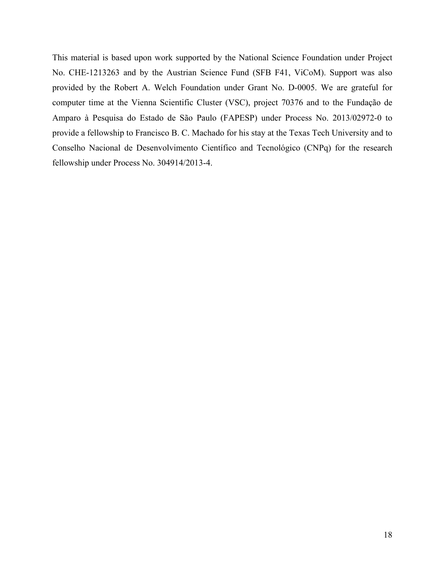This material is based upon work supported by the National Science Foundation under Project No. CHE-1213263 and by the Austrian Science Fund (SFB F41, ViCoM). Support was also provided by the Robert A. Welch Foundation under Grant No. D-0005. We are grateful for computer time at the Vienna Scientific Cluster (VSC), project 70376 and to the Fundação de Amparo à Pesquisa do Estado de São Paulo (FAPESP) under Process No. 2013/02972-0 to provide a fellowship to Francisco B. C. Machado for his stay at the Texas Tech University and to Conselho Nacional de Desenvolvimento Científico and Tecnológico (CNPq) for the research fellowship under Process No. 304914/2013-4.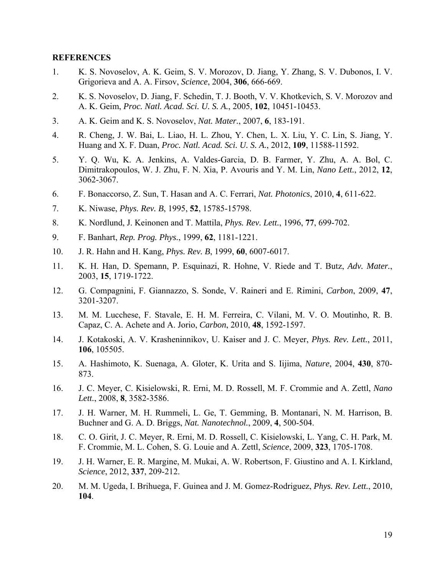#### **REFERENCES**

- 1. K. S. Novoselov, A. K. Geim, S. V. Morozov, D. Jiang, Y. Zhang, S. V. Dubonos, I. V. Grigorieva and A. A. Firsov, *Science*, 2004, **306**, 666-669.
- 2. K. S. Novoselov, D. Jiang, F. Schedin, T. J. Booth, V. V. Khotkevich, S. V. Morozov and A. K. Geim, *Proc. Natl. Acad. Sci. U. S. A.*, 2005, **102**, 10451-10453.
- 3. A. K. Geim and K. S. Novoselov, *Nat. Mater.*, 2007, **6**, 183-191.
- 4. R. Cheng, J. W. Bai, L. Liao, H. L. Zhou, Y. Chen, L. X. Liu, Y. C. Lin, S. Jiang, Y. Huang and X. F. Duan, *Proc. Natl. Acad. Sci. U. S. A.*, 2012, **109**, 11588-11592.
- 5. Y. Q. Wu, K. A. Jenkins, A. Valdes-Garcia, D. B. Farmer, Y. Zhu, A. A. Bol, C. Dimitrakopoulos, W. J. Zhu, F. N. Xia, P. Avouris and Y. M. Lin, *Nano Lett.*, 2012, **12**, 3062-3067.
- 6. F. Bonaccorso, Z. Sun, T. Hasan and A. C. Ferrari, *Nat. Photonics*, 2010, **4**, 611-622.
- 7. K. Niwase, *Phys. Rev. B*, 1995, **52**, 15785-15798.
- 8. K. Nordlund, J. Keinonen and T. Mattila, *Phys. Rev. Lett.*, 1996, **77**, 699-702.
- 9. F. Banhart, *Rep. Prog. Phys.*, 1999, **62**, 1181-1221.
- 10. J. R. Hahn and H. Kang, *Phys. Rev. B*, 1999, **60**, 6007-6017.
- 11. K. H. Han, D. Spemann, P. Esquinazi, R. Hohne, V. Riede and T. Butz, *Adv. Mater.*, 2003, **15**, 1719-1722.
- 12. G. Compagnini, F. Giannazzo, S. Sonde, V. Raineri and E. Rimini, *Carbon*, 2009, **47**, 3201-3207.
- 13. M. M. Lucchese, F. Stavale, E. H. M. Ferreira, C. Vilani, M. V. O. Moutinho, R. B. Capaz, C. A. Achete and A. Jorio, *Carbon*, 2010, **48**, 1592-1597.
- 14. J. Kotakoski, A. V. Krasheninnikov, U. Kaiser and J. C. Meyer, *Phys. Rev. Lett.*, 2011, **106**, 105505.
- 15. A. Hashimoto, K. Suenaga, A. Gloter, K. Urita and S. Iijima, *Nature*, 2004, **430**, 870- 873.
- 16. J. C. Meyer, C. Kisielowski, R. Erni, M. D. Rossell, M. F. Crommie and A. Zettl, *Nano Lett.*, 2008, **8**, 3582-3586.
- 17. J. H. Warner, M. H. Rummeli, L. Ge, T. Gemming, B. Montanari, N. M. Harrison, B. Buchner and G. A. D. Briggs, *Nat. Nanotechnol.*, 2009, **4**, 500-504.
- 18. C. O. Girit, J. C. Meyer, R. Erni, M. D. Rossell, C. Kisielowski, L. Yang, C. H. Park, M. F. Crommie, M. L. Cohen, S. G. Louie and A. Zettl, *Science*, 2009, **323**, 1705-1708.
- 19. J. H. Warner, E. R. Margine, M. Mukai, A. W. Robertson, F. Giustino and A. I. Kirkland, *Science*, 2012, **337**, 209-212.
- 20. M. M. Ugeda, I. Brihuega, F. Guinea and J. M. Gomez-Rodriguez, *Phys. Rev. Lett.*, 2010, **104**.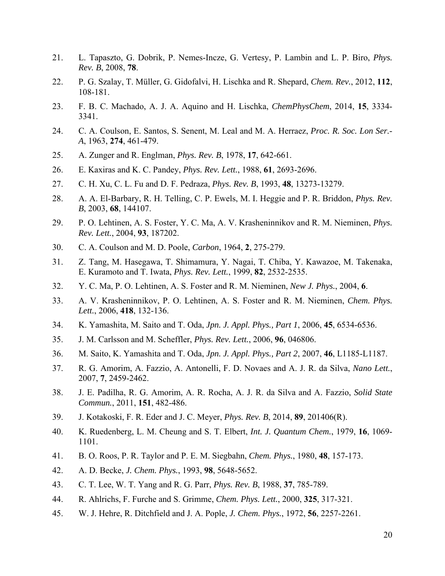- 21. L. Tapaszto, G. Dobrik, P. Nemes-Incze, G. Vertesy, P. Lambin and L. P. Biro, *Phys. Rev. B*, 2008, **78**.
- 22. P. G. Szalay, T. Müller, G. Gidofalvi, H. Lischka and R. Shepard, *Chem. Rev.*, 2012, **112**, 108-181.
- 23. F. B. C. Machado, A. J. A. Aquino and H. Lischka, *ChemPhysChem*, 2014, **15**, 3334- 3341.
- 24. C. A. Coulson, E. Santos, S. Senent, M. Leal and M. A. Herraez, *Proc. R. Soc. Lon Ser.- A*, 1963, **274**, 461-479.
- 25. A. Zunger and R. Englman, *Phys. Rev. B*, 1978, **17**, 642-661.
- 26. E. Kaxiras and K. C. Pandey, *Phys. Rev. Lett.*, 1988, **61**, 2693-2696.
- 27. C. H. Xu, C. L. Fu and D. F. Pedraza, *Phys. Rev. B*, 1993, **48**, 13273-13279.
- 28. A. A. El-Barbary, R. H. Telling, C. P. Ewels, M. I. Heggie and P. R. Briddon, *Phys. Rev. B*, 2003, **68**, 144107.
- 29. P. O. Lehtinen, A. S. Foster, Y. C. Ma, A. V. Krasheninnikov and R. M. Nieminen, *Phys. Rev. Lett.*, 2004, **93**, 187202.
- 30. C. A. Coulson and M. D. Poole, *Carbon*, 1964, **2**, 275-279.
- 31. Z. Tang, M. Hasegawa, T. Shimamura, Y. Nagai, T. Chiba, Y. Kawazoe, M. Takenaka, E. Kuramoto and T. Iwata, *Phys. Rev. Lett.*, 1999, **82**, 2532-2535.
- 32. Y. C. Ma, P. O. Lehtinen, A. S. Foster and R. M. Nieminen, *New J. Phys.*, 2004, **6**.
- 33. A. V. Krasheninnikov, P. O. Lehtinen, A. S. Foster and R. M. Nieminen, *Chem. Phys. Lett.*, 2006, **418**, 132-136.
- 34. K. Yamashita, M. Saito and T. Oda, *Jpn. J. Appl. Phys., Part 1*, 2006, **45**, 6534-6536.
- 35. J. M. Carlsson and M. Scheffler, *Phys. Rev. Lett.*, 2006, **96**, 046806.
- 36. M. Saito, K. Yamashita and T. Oda, *Jpn. J. Appl. Phys., Part 2*, 2007, **46**, L1185-L1187.
- 37. R. G. Amorim, A. Fazzio, A. Antonelli, F. D. Novaes and A. J. R. da Silva, *Nano Lett.*, 2007, **7**, 2459-2462.
- 38. J. E. Padilha, R. G. Amorim, A. R. Rocha, A. J. R. da Silva and A. Fazzio, *Solid State Commun.*, 2011, **151**, 482-486.
- 39. J. Kotakoski, F. R. Eder and J. C. Meyer, *Phys. Rev. B*, 2014, **89**, 201406(R).
- 40. K. Ruedenberg, L. M. Cheung and S. T. Elbert, *Int. J. Quantum Chem.*, 1979, **16**, 1069- 1101.
- 41. B. O. Roos, P. R. Taylor and P. E. M. Siegbahn, *Chem. Phys.*, 1980, **48**, 157-173.
- 42. A. D. Becke, *J. Chem. Phys.*, 1993, **98**, 5648-5652.
- 43. C. T. Lee, W. T. Yang and R. G. Parr, *Phys. Rev. B*, 1988, **37**, 785-789.
- 44. R. Ahlrichs, F. Furche and S. Grimme, *Chem. Phys. Lett.*, 2000, **325**, 317-321.
- 45. W. J. Hehre, R. Ditchfield and J. A. Pople, *J. Chem. Phys.*, 1972, **56**, 2257-2261.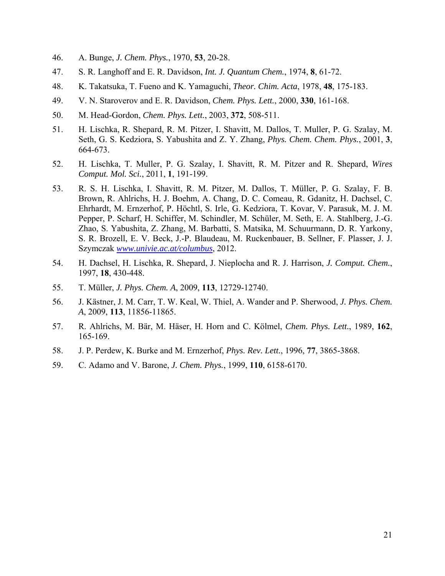- 46. A. Bunge, *J. Chem. Phys.*, 1970, **53**, 20-28.
- 47. S. R. Langhoff and E. R. Davidson, *Int. J. Quantum Chem.*, 1974, **8**, 61-72.
- 48. K. Takatsuka, T. Fueno and K. Yamaguchi, *Theor. Chim. Acta*, 1978, **48**, 175-183.
- 49. V. N. Staroverov and E. R. Davidson, *Chem. Phys. Lett.*, 2000, **330**, 161-168.
- 50. M. Head-Gordon, *Chem. Phys. Lett.*, 2003, **372**, 508-511.
- 51. H. Lischka, R. Shepard, R. M. Pitzer, I. Shavitt, M. Dallos, T. Muller, P. G. Szalay, M. Seth, G. S. Kedziora, S. Yabushita and Z. Y. Zhang, *Phys. Chem. Chem. Phys.*, 2001, **3**, 664-673.
- 52. H. Lischka, T. Muller, P. G. Szalay, I. Shavitt, R. M. Pitzer and R. Shepard, *Wires Comput. Mol. Sci.*, 2011, **1**, 191-199.
- 53. R. S. H. Lischka, I. Shavitt, R. M. Pitzer, M. Dallos, T. Müller, P. G. Szalay, F. B. Brown, R. Ahlrichs, H. J. Boehm, A. Chang, D. C. Comeau, R. Gdanitz, H. Dachsel, C. Ehrhardt, M. Ernzerhof, P. Höchtl, S. Irle, G. Kedziora, T. Kovar, V. Parasuk, M. J. M. Pepper, P. Scharf, H. Schiffer, M. Schindler, M. Schüler, M. Seth, E. A. Stahlberg, J.-G. Zhao, S. Yabushita, Z. Zhang, M. Barbatti, S. Matsika, M. Schuurmann, D. R. Yarkony, S. R. Brozell, E. V. Beck, J.-P. Blaudeau, M. Ruckenbauer, B. Sellner, F. Plasser, J. J. Szymczak *www.univie.ac.at/columbus*, 2012.
- 54. H. Dachsel, H. Lischka, R. Shepard, J. Nieplocha and R. J. Harrison, *J. Comput. Chem.*, 1997, **18**, 430-448.
- 55. T. Müller, *J. Phys. Chem. A*, 2009, **113**, 12729-12740.
- 56. J. Kästner, J. M. Carr, T. W. Keal, W. Thiel, A. Wander and P. Sherwood, *J. Phys. Chem. A*, 2009, **113**, 11856-11865.
- 57. R. Ahlrichs, M. Bär, M. Häser, H. Horn and C. Kölmel, *Chem. Phys. Lett.*, 1989, **162**, 165-169.
- 58. J. P. Perdew, K. Burke and M. Ernzerhof, *Phys. Rev. Lett.*, 1996, **77**, 3865-3868.
- 59. C. Adamo and V. Barone, *J. Chem. Phys.*, 1999, **110**, 6158-6170.